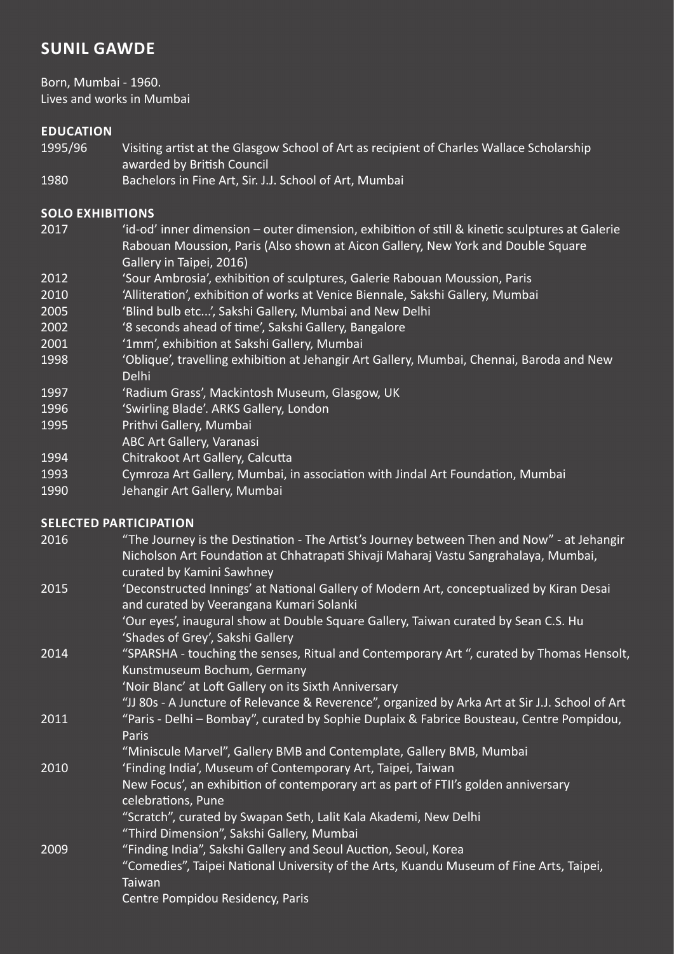# **SUNIL GAWDE**

Born, Mumbai - 1960. Lives and works in Mumbai

# **EDUCATION**

- 1995/96 Visiting artist at the Glasgow School of Art as recipient of Charles Wallace Scholarship awarded by British Council
- 1980 Bachelors in Fine Art, Sir. J.J. School of Art, Mumbai

### **SOLO EXHIBITIONS**

- 2017 'id-od' inner dimension outer dimension, exhibition of still & kinetic sculptures at Galerie Rabouan Moussion, Paris (Also shown at Aicon Gallery, New York and Double Square Gallery in Taipei, 2016)
- 2012 'Sour Ambrosia', exhibition of sculptures, Galerie Rabouan Moussion, Paris
- 2010 'Alliteration', exhibition of works at Venice Biennale, Sakshi Gallery, Mumbai
- 2005 'Blind bulb etc...', Sakshi Gallery, Mumbai and New Delhi
- 2002 '8 seconds ahead of time', Sakshi Gallery, Bangalore
- 2001 '1mm', exhibition at Sakshi Gallery, Mumbai
- 1998 'Oblique', travelling exhibition at Jehangir Art Gallery, Mumbai, Chennai, Baroda and New Delhi
- 1997 'Radium Grass', Mackintosh Museum, Glasgow, UK
- 1996 'Swirling Blade'. ARKS Gallery, London
- 1995 Prithvi Gallery, Mumbai
- ABC Art Gallery, Varanasi
- 1994 Chitrakoot Art Gallery, Calcutta
- 1993 Cymroza Art Gallery, Mumbai, in association with Jindal Art Foundation, Mumbai
- 1990 Jehangir Art Gallery, Mumbai

## **SELECTED PARTICIPATION**

- 2016 "The Journey is the Destination The Artist's Journey between Then and Now" at Jehangir Nicholson Art Foundation at Chhatrapati Shivaji Maharaj Vastu Sangrahalaya, Mumbai, curated by Kamini Sawhney
- 2015 'Deconstructed Innings' at National Gallery of Modern Art, conceptualized by Kiran Desai and curated by Veerangana Kumari Solanki
	- 'Our eyes', inaugural show at Double Square Gallery, Taiwan curated by Sean C.S. Hu 'Shades of Grey', Sakshi Gallery
- 2014 "SPARSHA touching the senses, Ritual and Contemporary Art ", curated by Thomas Hensolt, Kunstmuseum Bochum, Germany
	- 'Noir Blanc' at Loft Gallery on its Sixth Anniversary
	- "JJ 80s A Juncture of Relevance & Reverence", organized by Arka Art at Sir J.J. School of Art
- 2011 "Paris Delhi Bombay", curated by Sophie Duplaix & Fabrice Bousteau, Centre Pompidou, Paris
	- "Miniscule Marvel", Gallery BMB and Contemplate, Gallery BMB, Mumbai
- 2010 'Finding India', Museum of Contemporary Art, Taipei, Taiwan

#### New Focus', an exhibition of contemporary art as part of FTII's golden anniversary celebrations, Pune

- "Scratch", curated by Swapan Seth, Lalit Kala Akademi, New Delhi
- "Third Dimension", Sakshi Gallery, Mumbai
- 2009 "Finding India", Sakshi Gallery and Seoul Auction, Seoul, Korea
	- "Comedies", Taipei National University of the Arts, Kuandu Museum of Fine Arts, Taipei, Taiwan

Centre Pompidou Residency, Paris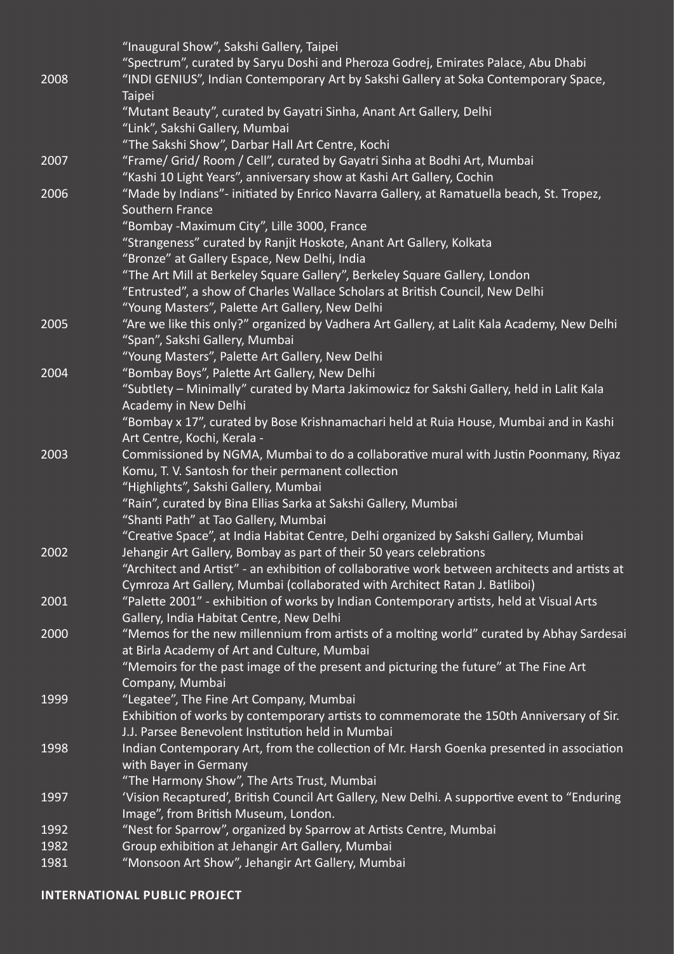|      | "Inaugural Show", Sakshi Gallery, Taipei                                                       |
|------|------------------------------------------------------------------------------------------------|
|      | "Spectrum", curated by Saryu Doshi and Pheroza Godrej, Emirates Palace, Abu Dhabi              |
| 2008 | "INDI GENIUS", Indian Contemporary Art by Sakshi Gallery at Soka Contemporary Space,           |
|      | Taipei                                                                                         |
|      | "Mutant Beauty", curated by Gayatri Sinha, Anant Art Gallery, Delhi                            |
|      | "Link", Sakshi Gallery, Mumbai                                                                 |
|      | "The Sakshi Show", Darbar Hall Art Centre, Kochi                                               |
| 2007 | "Frame/ Grid/ Room / Cell", curated by Gayatri Sinha at Bodhi Art, Mumbai                      |
|      | "Kashi 10 Light Years", anniversary show at Kashi Art Gallery, Cochin                          |
| 2006 | "Made by Indians"- initiated by Enrico Navarra Gallery, at Ramatuella beach, St. Tropez,       |
|      | <b>Southern France</b>                                                                         |
|      | "Bombay -Maximum City", Lille 3000, France                                                     |
|      | "Strangeness" curated by Ranjit Hoskote, Anant Art Gallery, Kolkata                            |
|      | "Bronze" at Gallery Espace, New Delhi, India                                                   |
|      | "The Art Mill at Berkeley Square Gallery", Berkeley Square Gallery, London                     |
|      | "Entrusted", a show of Charles Wallace Scholars at British Council, New Delhi                  |
|      | "Young Masters", Palette Art Gallery, New Delhi                                                |
| 2005 | "Are we like this only?" organized by Vadhera Art Gallery, at Lalit Kala Academy, New Delhi    |
|      | "Span", Sakshi Gallery, Mumbai                                                                 |
|      | "Young Masters", Palette Art Gallery, New Delhi                                                |
| 2004 | "Bombay Boys", Palette Art Gallery, New Delhi                                                  |
|      | "Subtlety - Minimally" curated by Marta Jakimowicz for Sakshi Gallery, held in Lalit Kala      |
|      | Academy in New Delhi                                                                           |
|      | "Bombay x 17", curated by Bose Krishnamachari held at Ruia House, Mumbai and in Kashi          |
|      | Art Centre, Kochi, Kerala -                                                                    |
| 2003 | Commissioned by NGMA, Mumbai to do a collaborative mural with Justin Poonmany, Riyaz           |
|      | Komu, T. V. Santosh for their permanent collection                                             |
|      | "Highlights", Sakshi Gallery, Mumbai                                                           |
|      | "Rain", curated by Bina Ellias Sarka at Sakshi Gallery, Mumbai                                 |
|      | "Shanti Path" at Tao Gallery, Mumbai                                                           |
|      | "Creative Space", at India Habitat Centre, Delhi organized by Sakshi Gallery, Mumbai           |
| 2002 | Jehangir Art Gallery, Bombay as part of their 50 years celebrations                            |
|      | "Architect and Artist" - an exhibition of collaborative work between architects and artists at |
|      | Cymroza Art Gallery, Mumbai (collaborated with Architect Ratan J. Batliboi)                    |
| 2001 | "Palette 2001" - exhibition of works by Indian Contemporary artists, held at Visual Arts       |
|      | Gallery, India Habitat Centre, New Delhi                                                       |
| 2000 | "Memos for the new millennium from artists of a molting world" curated by Abhay Sardesai       |
|      | at Birla Academy of Art and Culture, Mumbai                                                    |
|      | "Memoirs for the past image of the present and picturing the future" at The Fine Art           |
|      | Company, Mumbai                                                                                |
| 1999 | "Legatee", The Fine Art Company, Mumbai                                                        |
|      | Exhibition of works by contemporary artists to commemorate the 150th Anniversary of Sir.       |
|      | J.J. Parsee Benevolent Institution held in Mumbai                                              |
| 1998 | Indian Contemporary Art, from the collection of Mr. Harsh Goenka presented in association      |
|      | with Bayer in Germany                                                                          |
|      | "The Harmony Show", The Arts Trust, Mumbai                                                     |
| 1997 | 'Vision Recaptured', British Council Art Gallery, New Delhi. A supportive event to "Enduring   |
|      | Image", from British Museum, London.                                                           |
| 1992 | "Nest for Sparrow", organized by Sparrow at Artists Centre, Mumbai                             |
| 1982 | Group exhibition at Jehangir Art Gallery, Mumbai                                               |
| 1981 | "Monsoon Art Show", Jehangir Art Gallery, Mumbai                                               |

#### **INTERNATIONAL PUBLIC PROJECT**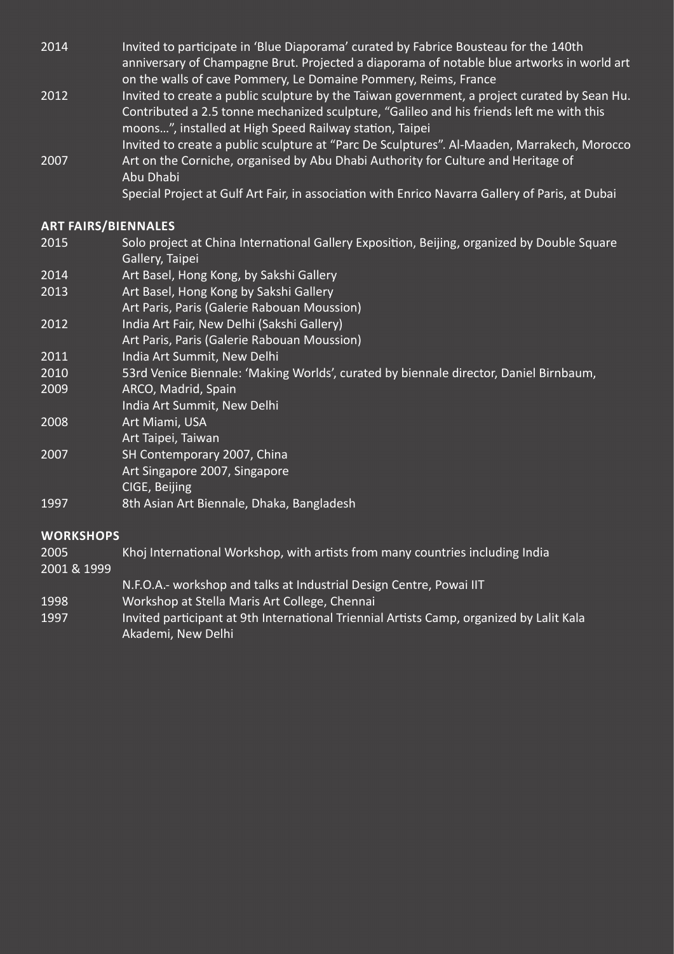- 2014 Invited to participate in 'Blue Diaporama' curated by Fabrice Bousteau for the 140th anniversary of Champagne Brut. Projected a diaporama of notable blue artworks in world art on the walls of cave Pommery, Le Domaine Pommery, Reims, France
- 2012 Invited to create a public sculpture by the Taiwan government, a project curated by Sean Hu. Contributed a 2.5 tonne mechanized sculpture, "Galileo and his friends left me with this moons…", installed at High Speed Railway station, Taipei Invited to create a public sculpture at "Parc De Sculptures". Al-Maaden, Marrakech, Morocco 2007 Art on the Corniche, organised by Abu Dhabi Authority for Culture and Heritage of Abu Dhabi

Special Project at Gulf Art Fair, in association with Enrico Navarra Gallery of Paris, at Dubai

### **ART FAIRS/BIENNALES**

- 2015 Solo project at China International Gallery Exposition, Beijing, organized by Double Square Gallery, Taipei
- 2014 Art Basel, Hong Kong, by Sakshi Gallery
- 2013 Art Basel, Hong Kong by Sakshi Gallery
- Art Paris, Paris (Galerie Rabouan Moussion)
- 2012 India Art Fair, New Delhi (Sakshi Gallery)
- Art Paris, Paris (Galerie Rabouan Moussion)
- 2011 India Art Summit, New Delhi
- 2010 53rd Venice Biennale: 'Making Worlds', curated by biennale director, Daniel Birnbaum,
- 2009 ARCO, Madrid, Spain
- India Art Summit, New Delhi
- 2008 Art Miami, USA
- Art Taipei, Taiwan
- 2007 SH Contemporary 2007, China
- Art Singapore 2007, Singapore
	- CIGE, Beijing
- 1997 8th Asian Art Biennale, Dhaka, Bangladesh

#### **WORKSHOPS**

2005 Khoj International Workshop, with artists from many countries including India

2001 & 1999

- N.F.O.A.- workshop and talks at Industrial Design Centre, Powai IIT
- 1998 Workshop at Stella Maris Art College, Chennai
- 1997 Invited participant at 9th International Triennial Artists Camp, organized by Lalit Kala Akademi, New Delhi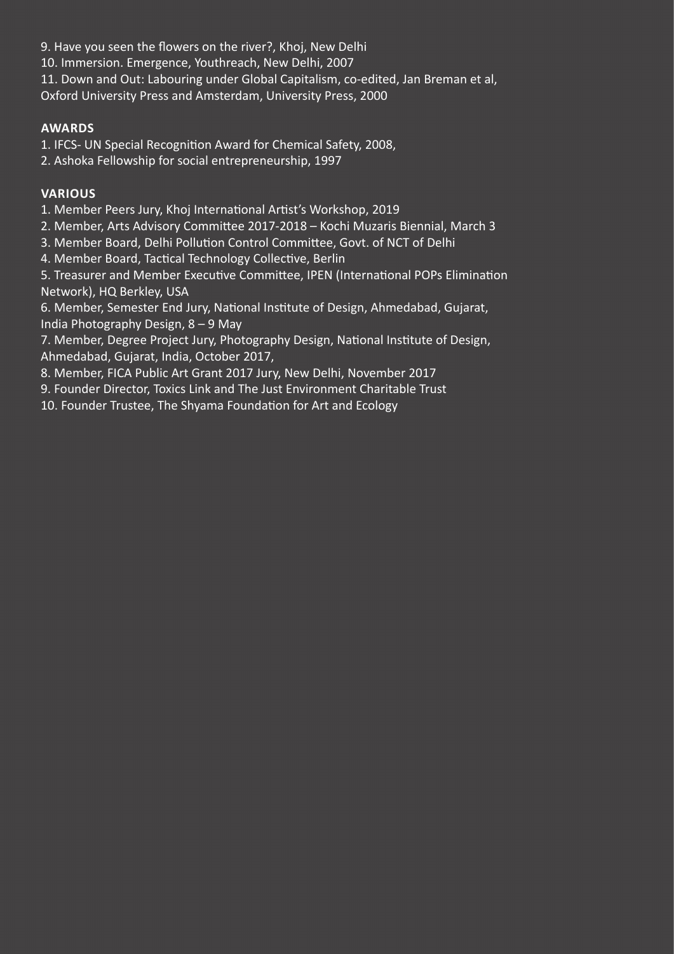9. Have you seen the flowers on the river?, Khoj, New Delhi

10. Immersion. Emergence, Youthreach, New Delhi, 2007

11. Down and Out: Labouring under Global Capitalism, co-edited, Jan Breman et al,

Oxford University Press and Amsterdam, University Press, 2000

# **AWARDS**

1. IFCS- UN Special Recognition Award for Chemical Safety, 2008,

2. Ashoka Fellowship for social entrepreneurship, 1997

# **VARIOUS**

1. Member Peers Jury, Khoj International Artist's Workshop, 2019

2. Member, Arts Advisory Committee 2017-2018 – Kochi Muzaris Biennial, March 3

3. Member Board, Delhi Pollution Control Committee, Govt. of NCT of Delhi

4. Member Board, Tactical Technology Collective, Berlin

5. Treasurer and Member Executive Committee, IPEN (International POPs Elimination Network), HQ Berkley, USA

6. Member, Semester End Jury, National Institute of Design, Ahmedabad, Gujarat, India Photography Design, 8 – 9 May

7. Member, Degree Project Jury, Photography Design, National Institute of Design, Ahmedabad, Gujarat, India, October 2017,

8. Member, FICA Public Art Grant 2017 Jury, New Delhi, November 2017

9. Founder Director, Toxics Link and The Just Environment Charitable Trust

10. Founder Trustee, The Shyama Foundation for Art and Ecology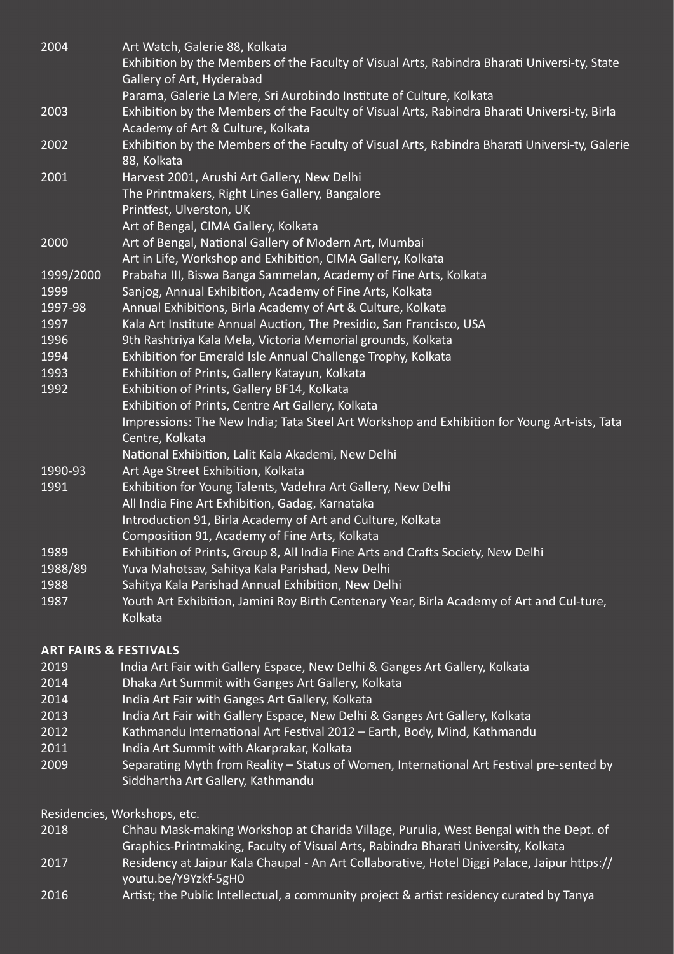| 2004      | Art Watch, Galerie 88, Kolkata                                                                                                    |
|-----------|-----------------------------------------------------------------------------------------------------------------------------------|
|           | Exhibition by the Members of the Faculty of Visual Arts, Rabindra Bharati Universi-ty, State<br>Gallery of Art, Hyderabad         |
|           | Parama, Galerie La Mere, Sri Aurobindo Institute of Culture, Kolkata                                                              |
| 2003      | Exhibition by the Members of the Faculty of Visual Arts, Rabindra Bharati Universi-ty, Birla<br>Academy of Art & Culture, Kolkata |
| 2002      | Exhibition by the Members of the Faculty of Visual Arts, Rabindra Bharati Universi-ty, Galerie<br>88, Kolkata                     |
| 2001      | Harvest 2001, Arushi Art Gallery, New Delhi                                                                                       |
|           | The Printmakers, Right Lines Gallery, Bangalore<br>Printfest, Ulverston, UK                                                       |
|           | Art of Bengal, CIMA Gallery, Kolkata                                                                                              |
| 2000      | Art of Bengal, National Gallery of Modern Art, Mumbai                                                                             |
|           | Art in Life, Workshop and Exhibition, CIMA Gallery, Kolkata                                                                       |
| 1999/2000 | Prabaha III, Biswa Banga Sammelan, Academy of Fine Arts, Kolkata                                                                  |
| 1999      | Sanjog, Annual Exhibition, Academy of Fine Arts, Kolkata                                                                          |
| 1997-98   | Annual Exhibitions, Birla Academy of Art & Culture, Kolkata                                                                       |
| 1997      | Kala Art Institute Annual Auction, The Presidio, San Francisco, USA                                                               |
| 1996      | 9th Rashtriya Kala Mela, Victoria Memorial grounds, Kolkata                                                                       |
| 1994      | Exhibition for Emerald Isle Annual Challenge Trophy, Kolkata                                                                      |
| 1993      | Exhibition of Prints, Gallery Katayun, Kolkata                                                                                    |
| 1992      | Exhibition of Prints, Gallery BF14, Kolkata                                                                                       |
|           | Exhibition of Prints, Centre Art Gallery, Kolkata                                                                                 |
|           | Impressions: The New India; Tata Steel Art Workshop and Exhibition for Young Art-ists, Tata<br>Centre, Kolkata                    |
|           | National Exhibition, Lalit Kala Akademi, New Delhi                                                                                |
| 1990-93   | Art Age Street Exhibition, Kolkata                                                                                                |
| 1991      | Exhibition for Young Talents, Vadehra Art Gallery, New Delhi                                                                      |
|           | All India Fine Art Exhibition, Gadag, Karnataka                                                                                   |
|           | Introduction 91, Birla Academy of Art and Culture, Kolkata                                                                        |
|           | Composition 91, Academy of Fine Arts, Kolkata                                                                                     |
| 1989      | Exhibition of Prints, Group 8, All India Fine Arts and Crafts Society, New Delhi                                                  |
| 1988/89   | Yuva Mahotsav, Sahitya Kala Parishad, New Delhi                                                                                   |
| 1988      | Sahitya Kala Parishad Annual Exhibition, New Delhi                                                                                |
| 1987      | Youth Art Exhibition, Jamini Roy Birth Centenary Year, Birla Academy of Art and Cul-ture,<br>Kolkata                              |
|           |                                                                                                                                   |

## **ART FAIRS & FESTIVALS**

- 2019 India Art Fair with Gallery Espace, New Delhi & Ganges Art Gallery, Kolkata
- 2014 Dhaka Art Summit with Ganges Art Gallery, Kolkata
- 2014 India Art Fair with Ganges Art Gallery, Kolkata
- 2013 India Art Fair with Gallery Espace, New Delhi & Ganges Art Gallery, Kolkata
- 2012 Kathmandu International Art Festival 2012 Earth, Body, Mind, Kathmandu
- 2011 India Art Summit with Akarprakar, Kolkata
- 2009 Separating Myth from Reality Status of Women, International Art Festival pre-sented by Siddhartha Art Gallery, Kathmandu

Residencies, Workshops, etc.

- 2018 Chhau Mask-making Workshop at Charida Village, Purulia, West Bengal with the Dept. of Graphics-Printmaking, Faculty of Visual Arts, Rabindra Bharati University, Kolkata
- 2017 Residency at Jaipur Kala Chaupal An Art Collaborative, Hotel Diggi Palace, Jaipur https:// youtu.be/Y9Yzkf-5gH0
- 2016 Artist; the Public Intellectual, a community project & artist residency curated by Tanya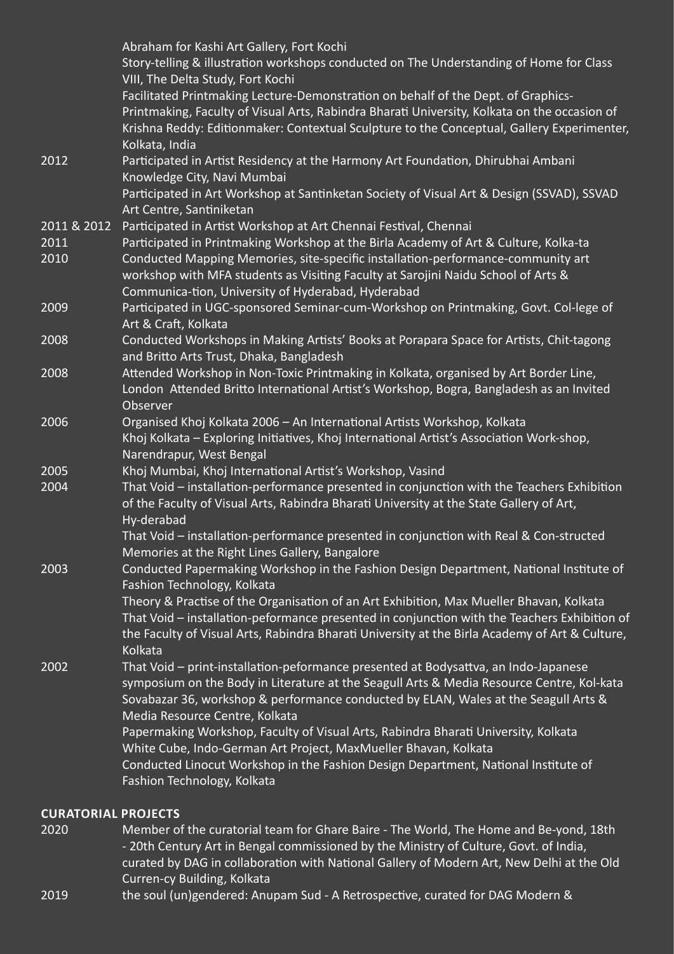|             | Abraham for Kashi Art Gallery, Fort Kochi<br>Story-telling & illustration workshops conducted on The Understanding of Home for Class<br>VIII, The Delta Study, Fort Kochi                                                                                                                                 |
|-------------|-----------------------------------------------------------------------------------------------------------------------------------------------------------------------------------------------------------------------------------------------------------------------------------------------------------|
|             | Facilitated Printmaking Lecture-Demonstration on behalf of the Dept. of Graphics-<br>Printmaking, Faculty of Visual Arts, Rabindra Bharati University, Kolkata on the occasion of<br>Krishna Reddy: Editionmaker: Contextual Sculpture to the Conceptual, Gallery Experimenter,<br>Kolkata, India         |
| 2012        | Participated in Artist Residency at the Harmony Art Foundation, Dhirubhai Ambani<br>Knowledge City, Navi Mumbai                                                                                                                                                                                           |
|             | Participated in Art Workshop at Santinketan Society of Visual Art & Design (SSVAD), SSVAD<br>Art Centre, Santiniketan                                                                                                                                                                                     |
| 2011 & 2012 | Participated in Artist Workshop at Art Chennai Festival, Chennai                                                                                                                                                                                                                                          |
| 2011        | Participated in Printmaking Workshop at the Birla Academy of Art & Culture, Kolka-ta                                                                                                                                                                                                                      |
| 2010        | Conducted Mapping Memories, site-specific installation-performance-community art<br>workshop with MFA students as Visiting Faculty at Sarojini Naidu School of Arts &<br>Communica-tion, University of Hyderabad, Hyderabad                                                                               |
| 2009        | Participated in UGC-sponsored Seminar-cum-Workshop on Printmaking, Govt. Col-lege of<br>Art & Craft, Kolkata                                                                                                                                                                                              |
| 2008        | Conducted Workshops in Making Artists' Books at Porapara Space for Artists, Chit-tagong<br>and Britto Arts Trust, Dhaka, Bangladesh                                                                                                                                                                       |
| 2008        | Attended Workshop in Non-Toxic Printmaking in Kolkata, organised by Art Border Line,<br>London Attended Britto International Artist's Workshop, Bogra, Bangladesh as an Invited<br>Observer                                                                                                               |
| 2006        | Organised Khoj Kolkata 2006 - An International Artists Workshop, Kolkata                                                                                                                                                                                                                                  |
|             | Khoj Kolkata - Exploring Initiatives, Khoj International Artist's Association Work-shop,<br>Narendrapur, West Bengal                                                                                                                                                                                      |
| 2005        | Khoj Mumbai, Khoj International Artist's Workshop, Vasind                                                                                                                                                                                                                                                 |
| 2004        | That Void - installation-performance presented in conjunction with the Teachers Exhibition<br>of the Faculty of Visual Arts, Rabindra Bharati University at the State Gallery of Art,<br>Hy-derabad                                                                                                       |
|             | That Void - installation-performance presented in conjunction with Real & Con-structed<br>Memories at the Right Lines Gallery, Bangalore                                                                                                                                                                  |
| 2003        | Conducted Papermaking Workshop in the Fashion Design Department, National Institute of<br>Fashion Technology, Kolkata                                                                                                                                                                                     |
|             | Theory & Practise of the Organisation of an Art Exhibition, Max Mueller Bhavan, Kolkata<br>That Void - installation-peformance presented in conjunction with the Teachers Exhibition of<br>the Faculty of Visual Arts, Rabindra Bharati University at the Birla Academy of Art & Culture,<br>Kolkata      |
| 2002        | That Void - print-installation-peformance presented at Bodysattva, an Indo-Japanese<br>symposium on the Body in Literature at the Seagull Arts & Media Resource Centre, Kol-kata<br>Sovabazar 36, workshop & performance conducted by ELAN, Wales at the Seagull Arts &<br>Media Resource Centre, Kolkata |
|             | Papermaking Workshop, Faculty of Visual Arts, Rabindra Bharati University, Kolkata<br>White Cube, Indo-German Art Project, MaxMueller Bhavan, Kolkata                                                                                                                                                     |
|             | Conducted Linocut Workshop in the Fashion Design Department, National Institute of<br>Fashion Technology, Kolkata                                                                                                                                                                                         |
|             |                                                                                                                                                                                                                                                                                                           |

## **CURATORIAL PROJECTS**

2020 Member of the curatorial team for Ghare Baire - The World, The Home and Be-yond, 18th - 20th Century Art in Bengal commissioned by the Ministry of Culture, Govt. of India, curated by DAG in collaboration with National Gallery of Modern Art, New Delhi at the Old Curren-cy Building, Kolkata

2019 the soul (un)gendered: Anupam Sud - A Retrospective, curated for DAG Modern &